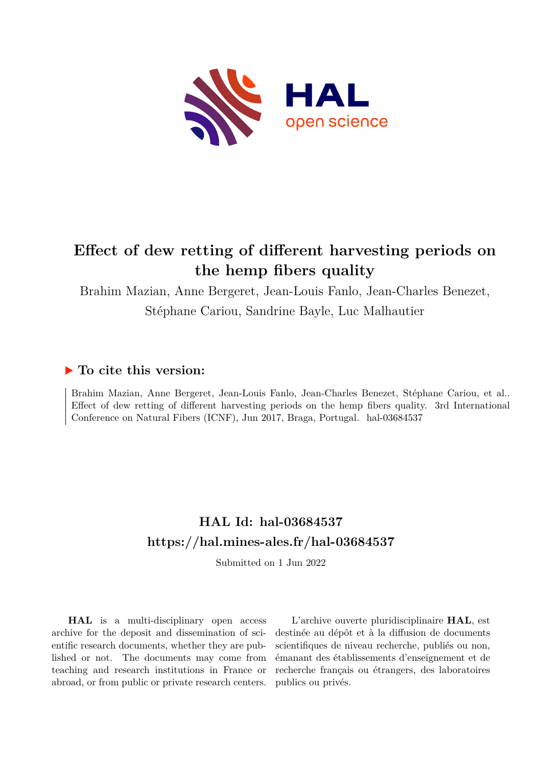

# **Effect of dew retting of different harvesting periods on the hemp fibers quality**

Brahim Mazian, Anne Bergeret, Jean-Louis Fanlo, Jean-Charles Benezet, Stéphane Cariou, Sandrine Bayle, Luc Malhautier

## **To cite this version:**

Brahim Mazian, Anne Bergeret, Jean-Louis Fanlo, Jean-Charles Benezet, Stéphane Cariou, et al.. Effect of dew retting of different harvesting periods on the hemp fibers quality. 3rd International Conference on Natural Fibers (ICNF), Jun 2017, Braga, Portugal. hal-03684537

## **HAL Id: hal-03684537 <https://hal.mines-ales.fr/hal-03684537>**

Submitted on 1 Jun 2022

**HAL** is a multi-disciplinary open access archive for the deposit and dissemination of scientific research documents, whether they are published or not. The documents may come from teaching and research institutions in France or abroad, or from public or private research centers.

L'archive ouverte pluridisciplinaire **HAL**, est destinée au dépôt et à la diffusion de documents scientifiques de niveau recherche, publiés ou non, émanant des établissements d'enseignement et de recherche français ou étrangers, des laboratoires publics ou privés.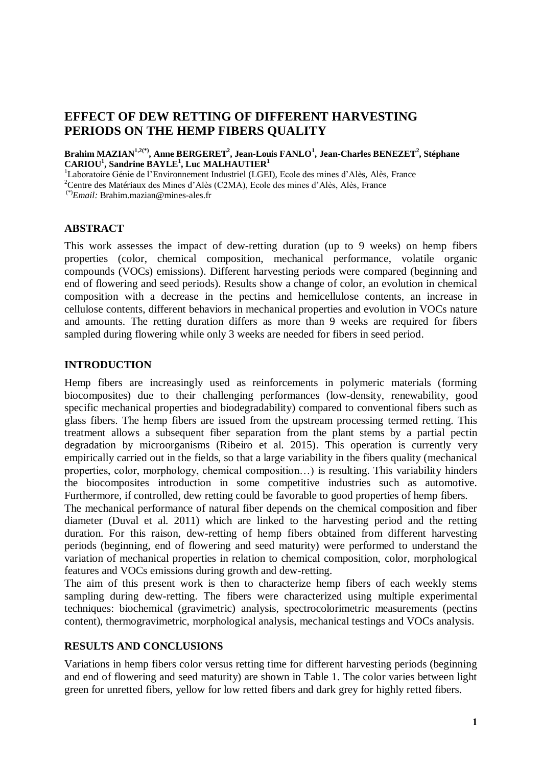## **EFFECT OF DEW RETTING OF DIFFERENT HARVESTING PERIODS ON THE HEMP FIBERS QUALITY**

**Brahim MAZIAN1,2(\*), Anne BERGERET<sup>2</sup> , Jean-Louis FANLO<sup>1</sup> , Jean-Charles BENEZET<sup>2</sup> , Stéphane CARIOU<sup>1</sup> , Sandrine BAYLE<sup>1</sup> , Luc MALHAUTIER<sup>1</sup>**

<sup>1</sup>Laboratoire Génie de l'Environnement Industriel (LGEI), Ecole des mines d'Alès, Alès, France

<sup>2</sup>Centre des Matériaux des Mines d'Alès (C2MA), Ecole des mines d'Alès, Alès, France

(\*)*Email:* [Br](mailto:palsm@fe.up.pt1)ahim.mazian@mines-ales.fr

#### **ABSTRACT**

This work assesses the impact of dew-retting duration (up to 9 weeks) on hemp fibers properties (color, chemical composition, mechanical performance, volatile organic compounds (VOCs) emissions). Different harvesting periods were compared (beginning and end of flowering and seed periods). Results show a change of color, an evolution in chemical composition with a decrease in the pectins and hemicellulose contents, an increase in cellulose contents, different behaviors in mechanical properties and evolution in VOCs nature and amounts. The retting duration differs as more than 9 weeks are required for fibers sampled during flowering while only 3 weeks are needed for fibers in seed period.

#### **INTRODUCTION**

Hemp fibers are increasingly used as reinforcements in polymeric materials (forming biocomposites) due to their challenging performances (low-density, renewability, good specific mechanical properties and biodegradability) compared to conventional fibers such as glass fibers. The hemp fibers are issued from the upstream processing termed retting. This treatment allows a subsequent fiber separation from the plant stems by a partial pectin degradation by microorganisms (Ribeiro et al. 2015). This operation is currently very empirically carried out in the fields, so that a large variability in the fibers quality (mechanical properties, color, morphology, chemical composition…) is resulting. This variability hinders the biocomposites introduction in some competitive industries such as automotive. Furthermore, if controlled, dew retting could be favorable to good properties of hemp fibers.

The mechanical performance of natural fiber depends on the chemical composition and fiber diameter (Duval et al. 2011) which are linked to the harvesting period and the retting duration. For this raison, dew-retting of hemp fibers obtained from different harvesting periods (beginning, end of flowering and seed maturity) were performed to understand the variation of mechanical properties in relation to chemical composition, color, morphological features and VOCs emissions during growth and dew-retting.

The aim of this present work is then to characterize hemp fibers of each weekly stems sampling during dew-retting. The fibers were characterized using multiple experimental techniques: biochemical (gravimetric) analysis, spectrocolorimetric measurements (pectins content), thermogravimetric, morphological analysis, mechanical testings and VOCs analysis.

#### **RESULTS AND CONCLUSIONS**

Variations in hemp fibers color versus retting time for different harvesting periods (beginning and end of flowering and seed maturity) are shown in Table 1. The color varies between light green for unretted fibers, yellow for low retted fibers and dark grey for highly retted fibers.